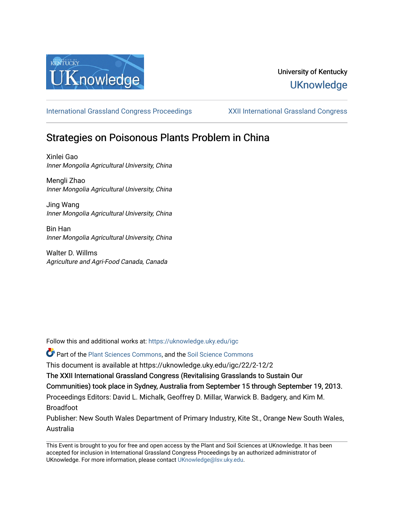

# University of Kentucky **UKnowledge**

[International Grassland Congress Proceedings](https://uknowledge.uky.edu/igc) [XXII International Grassland Congress](https://uknowledge.uky.edu/igc/22) 

# Strategies on Poisonous Plants Problem in China

Xinlei Gao Inner Mongolia Agricultural University, China

Mengli Zhao Inner Mongolia Agricultural University, China

Jing Wang Inner Mongolia Agricultural University, China

Bin Han Inner Mongolia Agricultural University, China

Walter D. Willms Agriculture and Agri-Food Canada, Canada

Follow this and additional works at: [https://uknowledge.uky.edu/igc](https://uknowledge.uky.edu/igc?utm_source=uknowledge.uky.edu%2Figc%2F22%2F2-12%2F2&utm_medium=PDF&utm_campaign=PDFCoverPages) 

Part of the [Plant Sciences Commons](http://network.bepress.com/hgg/discipline/102?utm_source=uknowledge.uky.edu%2Figc%2F22%2F2-12%2F2&utm_medium=PDF&utm_campaign=PDFCoverPages), and the [Soil Science Commons](http://network.bepress.com/hgg/discipline/163?utm_source=uknowledge.uky.edu%2Figc%2F22%2F2-12%2F2&utm_medium=PDF&utm_campaign=PDFCoverPages) 

This document is available at https://uknowledge.uky.edu/igc/22/2-12/2

The XXII International Grassland Congress (Revitalising Grasslands to Sustain Our

Communities) took place in Sydney, Australia from September 15 through September 19, 2013.

Proceedings Editors: David L. Michalk, Geoffrey D. Millar, Warwick B. Badgery, and Kim M. Broadfoot

Publisher: New South Wales Department of Primary Industry, Kite St., Orange New South Wales, Australia

This Event is brought to you for free and open access by the Plant and Soil Sciences at UKnowledge. It has been accepted for inclusion in International Grassland Congress Proceedings by an authorized administrator of UKnowledge. For more information, please contact [UKnowledge@lsv.uky.edu](mailto:UKnowledge@lsv.uky.edu).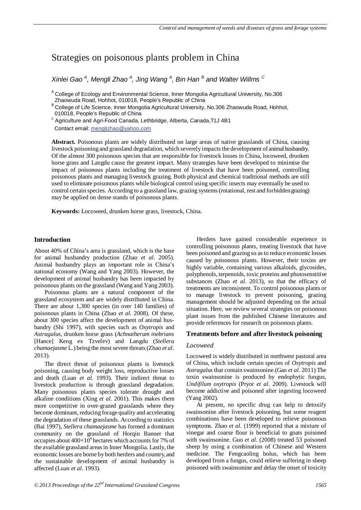# Strategies on poisonous plants problem in China

*Xinlei Gao <sup>A</sup> , Mengli Zhao <sup>A</sup> , Jing Wang <sup>A</sup> , Bin Han <sup>B</sup> and Walter Willms <sup>C</sup>*

<sup>A</sup> College of Ecology and Environmental Science, Inner Mongolia Agricultural University, No.306 Zhaowuda Road, Hohhot, 010018, People's Republic of China

<sup>B</sup> College of Life Science, Inner Mongolia Agricultural University, No.306 Zhaowuda Road, Hohhot,<br>010018, People's Republic of China

 $\degree$  Agriculture and Agri-Food Canada, Lethbridge, Alberta, Canada,T1J 4B1 Contact email: <u>menglizhao@yahoo.com</u>

**Abstract.** Poisonous plants are widely distributed on large areas of native grasslands of China, causing livestock poisoning and grassland degradation, which severely impacts the development of animal husbandry. Of the almost 300 poisonous species that are responsible for livestock losses in China, locoweed, drunken horse grass and Langdu cause the greatest impact. Many strategies have been developed to minimise the impact of poisonous plants including the treatment of livestock that have been poisoned, controlling poisonous plants and managing livestock grazing. Both physical and chemical traditional methods are still used to eliminate poisonous plants while biological control using specific insects may eventually be used to control certain species. According to a grassland law, grazing systems (rotational, rest and forbidden grazing) may be applied on dense stands of poisonous plants.

**Keywords:** Locoweed, drunken horse grass, livestock, China.

## **Introduction**

About 40% of China's area is grassland, which is the base for animal husbandry production (Zhao *et al*. 2005). Animal husbandry plays an important role in China's national economy (Wang and Yang 2003). However, the development of animal husbandry has been impacted by poisonous plants on the grassland (Wang and Yang 2003).

Poisonous plants are a natural component of the grassland ecosystem and are widely distributed in China. There are about 1,300 species (in over 140 families) of poisonous plants in China (Zhao *et al*. 2008). Of these, about 300 species affect the development of animal husbandry (Shi 1997), with species such as *Oxytropis* and *Astragalus*, drunken horse grass (*Achnatherum inebrians* [Hance] Keng ex Tzvelev) and Langdu (*Stellera chamaejasme* L.) being the most severe threats (Zhao *et al*. 2013).

The direct threat of poisonous plants is livestock poisoning, causing body weight loss, reproductive losses and death (Luan *et al*. 1993). Their indirect threat to livestock production is through grassland degradation. Many poisonous plants species tolerate drought and alkaline conditions (Xing *et al*. 2001). This makes them more competitive in over-grazed grasslands where they become dominant, reducing forage quality and accelerating the degradation of these grasslands. According to statistics (Bai 1997), *Stellera chamaejasme* has formed a dominant community on the grassland of Horqin Banner that occupies about  $400\times10^4$  hectares which accounts for 7% of the available grassland areas in Inner Mongolia. Lastly, the economic losses are borne by both herders and country, and the sustainable development of animal husbandry is affected (Luan *et al*. 1993).

Herders have gained considerable experience in controlling poisonous plants, treating livestock that have been poisoned and grazing so as to reduce economic losses caused by poisonous plants. However, their toxins are highly variable, containing various alkaloids, glycosides, polyphenols, terpenoids, toxic proteins and photosenstitive substances (Zhao *et al*. 2013), so that the efficacy of treatments are inconsistent. To control poisonous plants or to manage livestock to prevent poisoning, grazing management should be adjusted depending on the actual situation. Here, we review several strategies on poisonous plant issues from the published Chinese literatures and provide references for research on poisonous plants.

#### **Treatments before and after livestock poisoning**

#### *Locoweed*

Locoweed is widely distributed in northwest pastoral area of China, which include certain species of *Oxytropis* and *Astragalus* that contain swainsonine.(Gao *et al*. 2011) The toxin swainsonine is produced by endophytic fungus, *Undifilum oxytropis* (Pryor *et al*. 2009). Livestock will become addictive and poisoned after ingesting locoweed (Yang 2002).

At present, no specific drug can help to detoxify swainsonine after livestock poisoning, but some reagent combinations have been developed to relieve poisonous symptoms. Zhao *et al.* (1999) reported that a mixture of vinegar and coarse flour is beneficial to goats poisoned with swainsonine. Guo *et al.* (2008) treated 53 poisoned sheep by using a combination of Chinese and Western medicine. The Fengcaoling bolus, which has been developed from a fungus, could relieve suffering in sheep poisoned with swainsonine and delay the onset of toxicity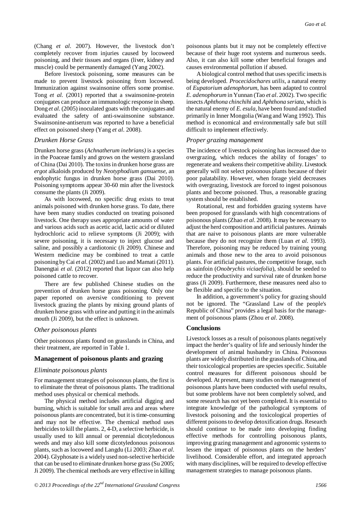(Chang *et al*. 2007). However, the livestock don't completely recover from injuries caused by locoweed poisoning, and their tissues and organs (liver, kidney and muscle) could be permanently damaged (Yang 2002).

Before livestock poisoning, some measures can be made to prevent livestock poisoning from locoweed. Immunization against swainsonine offers some promise. Tong *et al.* (2001) reported that a swainsonine-protein conjugates can produce an immunologic response in sheep. Dong *et al.* (2005) inoculated goats with the conjugates and evaluated the safety of anti-swainsonine substance. Swainsonine-antiserum was reported to have a beneficial effect on poisoned sheep (Yang *et al*. 2008).

#### *Drunken Horse Grass*

Drunken horse grass (*Achnatherum inebrians)* is a species in the Poaceae family and grows on the western grassland of China (Dai 2010). The toxins in drunken horse grass are *ergot* alkaloids produced by *Neotyphodium gansuense*, an endophytic fungus in drunken horse grass (Dai 2010). Poisoning symptoms appear 30-60 min after the livestock consume the plants (Ji 2009).

As with locoweed, no specific drug exists to treat animals poisoned with drunken horse grass. To date, there have been many studies conducted on treating poisoned livestock. One therapy uses appropriate amounts of water and various acids such as acetic acid, lactic acid or diluted hydrochloric acid to relieve symptoms (Ji 2009); with severe poisoning, it is necessary to inject glucose and saline, and possibly a cardiotonic (Ji 2009). Chinese and Western medicine may be combined to treat a cattle poisoning by Cai *et al.* (2002) and Luo and Mamati (2011). Danengtai *et al.* (2012) reported that liquor can also help poisoned cattle to recover.

There are few published Chinese studies on the prevention of drunken horse grass poisoning. Only one paper reported on aversive conditioning to prevent livestock grazing the plants by mixing ground plants of drunken horse grass with urine and putting it in the animals mouth (Ji 2009), but the effect is unknown.

#### *Other poisonous plants*

Other poisonous plants found on grasslands in China, and their treatment, are reported in Table 1.

## **Management of poisonous plants and grazing**

### *Eliminate poisonous plants*

For management strategies of poisonous plants, the first is to eliminate the threat of poisonous plants. The traditional method uses physical or chemical methods.

The physical method includes artificial digging and burning, which is suitable for small area and areas where poisonous plants are concentrated, but it istime-consuming and may not be effective. The chemical method uses herbicides to kill the plants. 2, 4-D, a selective herbicide, is usually used to kill annual or perennial dicotyledonous weeds and may also kill some dicotyledonous poisonous plants, such as locoweed and Langdu (Li 2003; Zhao *et al*. 2004). Glyphosate is a widely used non-selective herbicide that can be used to eliminate drunken horse grass (Su 2005; Ji 2009). The chemical methods are very effective in killing

poisonous plants but it may not be completely effective because of their huge root systems and numerous seeds. Also, it can also kill some other beneficial forages and causes environmental pollution if abused.

A biological control method that uses specific insects is being developed. *Procecidochares utilis*, a natural enemy of *Eupatorium adenophorum*, has been adapted to control *E. adenophorum* in Yunnan (Tao *et al*. 2002). Two specific insects *Aphthona chinchihi* and *Aphthona seriata*, which is the natural enemy of *E. esula*, have been found and studied primarily in Inner Mongolia (Wang and Wang 1992). This method is economical and environmentally safe but still difficult to implement effectively.

#### *Proper grazing management*

The incidence of livestock poisoning has increased due to overgrazing, which reduces the ability of forages' to regenerate and weakens their competitive ability. Livestock generally will not select poisonous plants because of their poor palatability. However, when forage yield decreases with overgrazing, livestock are forced to ingest poisonous plants and become poisoned. Thus, a reasonable grazing system should be established.

Rotational, rest and forbidden grazing systems have been proposed for grasslands with high concentrations of poisonous plants (Zhao *et al*. 2008). It may be necessary to adjust the herd composition and artificial pastures. Animals that are naive to poisonous plants are more vulnerable because they do not recognize them (Luan *et al*. 1993). Therefore, poisoning may be reduced by training young animals and those new to the area to avoid poisonous plants. For artificial pastures, the competitive forage, such as sainfoin (*Onobrychis viciaefolia*), should be seeded to reduce the productivity and survival rate of drunken horse grass (Ji 2009). Furthermore, these measures need also to be flexible and specific to the situation.

In addition, a government's policy for grazing should not be ignored. The "Grassland Law of the people's Republic of China" provides a legal basis for the management of poisonous plants (Zhou *et al*. 2008).

#### **Conclusions**

Livestock losses as a result of poisonous plants negatively impact the herder's quality of life and seriously hinder the development of animal husbandry in China. Poisonous plants are widely distributed in the grasslands of China, and their toxicological properties are species specific. Suitable control measures for different poisonous should be developed. At present, many studies on the management of poisonous plants have been conducted with useful results, but some problems have not been completely solved, and some research has not yet been completed. It is essential to integrate knowledge of the pathological symptoms of livestock poisoning and the toxicological properties of different poisons to develop detoxification drugs. Research should continue to be made into developing finding effective methods for controlling poisonous plants, improving grazing management and agronomic systems to lessen the impact of poisonous plants on the herders' livelihood. Considerable effort, and integrated approach with many disciplines, will be required to develop effective management strategies to manage poisonous plants.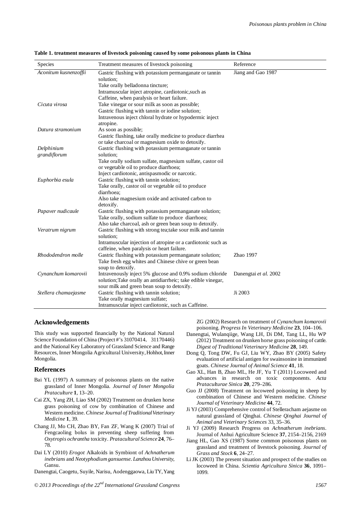| Species               | Treatment measures of livestock poisoning                                                         | Reference             |
|-----------------------|---------------------------------------------------------------------------------------------------|-----------------------|
| Aconitum kusnenzoffii | Gastric flushing with potassium permanganate or tannin                                            | Jiang and Gao 1987    |
|                       | solution:                                                                                         |                       |
|                       | Take orally belladonna tincture;                                                                  |                       |
|                       | Intramuscular inject atropine, cardiotonic, such as<br>Caffeine, when paralysis or heart failure. |                       |
| Cicuta virosa         | Take vinegar or sour milk as soon as possible;                                                    |                       |
|                       | Gastric flushing with tannin or iodine solution;                                                  |                       |
|                       | Intravenous inject chloral hydrate or hypodermic inject                                           |                       |
|                       | atropine.                                                                                         |                       |
| Datura stramonium     | As soon as possible;                                                                              |                       |
|                       | Gastric flushing, take orally medicine to produce diarrhea                                        |                       |
|                       | or take charcoal or magnesium oxide to detoxify.                                                  |                       |
| Delphinium            | Gastric flushing with potassium permanganate or tannin                                            |                       |
| grandiflorum          | solution:                                                                                         |                       |
|                       | Take orally sodium sulfate, magnesium sulfate, castor oil                                         |                       |
|                       | or vegetable oil to produce diarrhoea;                                                            |                       |
|                       | Inject cardiotonic, antispasmodic or narcotic.                                                    |                       |
| Euphorbia esula       | Gastric flushing with tannin solution;                                                            |                       |
|                       | Take orally, castor oil or vegetable oil to produce                                               |                       |
|                       | diarrhoea:                                                                                        |                       |
|                       | Also take magnesium oxide and activated carbon to                                                 |                       |
|                       | detoxify.                                                                                         |                       |
| Papaver nudicaule     | Gastric flushing with potassium permanganate solution;                                            |                       |
|                       | Take orally, sodium sulfate to produce diarrhoea;                                                 |                       |
|                       | Also take charcoal, ash or green bean soup to detoxify.                                           |                       |
| Veratrum nigrum       | Gastric flushing with strong tea; take sour milk and tannin                                       |                       |
|                       | solution:                                                                                         |                       |
|                       | Intramuscular injection of atropine or a cardiotonic such as                                      |                       |
|                       | caffeine, when paralysis or heart failure.                                                        |                       |
| Rhododendron molle    | Gastric flushing with potassium permanganate solution;                                            | Zhao 1997             |
|                       | Take fresh egg whites and Chinese chive or green bean<br>soup to detoxify.                        |                       |
| Cynanchum komarovii   | Intravenously inject 5% glucose and 0.9% sodium chloride                                          | Danengtai et al. 2002 |
|                       | solution; Take orally an antidiarrheic; take edible vinegar,                                      |                       |
|                       | sour milk and green bean soup to detoxify.                                                        |                       |
| Stellera chamaejasme  | Gastric flushing with tannin solution;                                                            | Ji 2003               |
|                       | Take orally magnesium sulfate;                                                                    |                       |
|                       | Intramuscular inject cardiotonic, such as Caffeine.                                               |                       |

| Table 1. treatment measures of livestock poisoning caused by some poisonous plants in China |  |  |  |
|---------------------------------------------------------------------------------------------|--|--|--|
|---------------------------------------------------------------------------------------------|--|--|--|

#### **Acknowledgements**

This study was supported financially by the National Natural Science Foundation of China (Project #'s 31070414, 31170446) and the National Key Laboratory of Grassland Science and Range Resources, Inner Mongolia Agricultural University, Hohhot, Inner Mongolia.

#### **References**

- Bai YL (1997) A summary of poisonous plants on the native grassland of Inner Mongolia. *Journal of Inner Mongolia Prataculture* **1**, 13–20.
- Cai ZX, Yang ZH, Liao SM (2002) Treatment on drunken horse grass poisoning of cow by combination of Chinese and Western medicine. *Chinese Journal of Traditional Veterinary Medicine* **1**, 39.
- Chang JJ, Mo CH, Zhao BY, Fan ZF, Wang K (2007) Trial of Fengcaoling bolus in preventing sheep suffering from *Oxytropis ochrantha* toxicity. *Pratacultural Science* **24**, 76– 78.
- Dai LY (2010) *Erogot* Alkaloids in Symbiont of *Achnatherum inebrians* and *Neotyphodium gansuense*. *Lanzhou University*, Gansu.

Danengtai, Caogetu, Suyile, Narisu, Aodenggaowa, Liu TY, Yang

ZG (2002) Research on treatment of *Cynanchum komarovii*  poisoning. *Progress In Veterinary Medicine* **23**, 104–106.

- Danengtai, Wulanqiige, Wang LH, Di DM, Tang LL, Hu WP (2012) Treatment on drunken horse grass poisoning of cattle. *Digest of Traditional Veterinary Medicine* **28**, 149.
- Dong Q, Tong DW, Fu GJ, Liu WY, Zhao BY (2005) Safety evaluation of artificial antigen for swainsonine in immunized goats. *Chinese Journal of Animal Science* **41**, 18.
- Gao XL, Han B, Zhao ML, He JF, Yu T (2011) Locoweed and advances in research on toxic components. *Acta Prataculturae Sinica* **20**, 279–286.
- Guo JJ (2008) Treatment on locoweed poisoning in sheep by combination of Chinese and Western medicine. *Chinese Journal of Veterinary Medicine* **44**, 72.
- Ji YJ (2003) Comprehensive control of Stelleracham aejasme on natural grassland of Qinghai. *Chinese Qinghai Journal of Animal and Veterinary Sciences* 33, 35–36.
- Ji YJ (2009) Research Progress on *Achnatherum inebrians*. Journal of Anhui Agriculture Science **37**, 2154–2156, 2169
- Jiang HL, Gao XS (1987) Some common poisonous plants on grassland and treatment of livestock poisoning. *Journal of Grass and Stock* **6**, 24–27.
- Li JK (2003) The present situation and prospect of the studies on locoweed in China. *Scientia Agricultura Sinica* **36**, 1091– 1099.